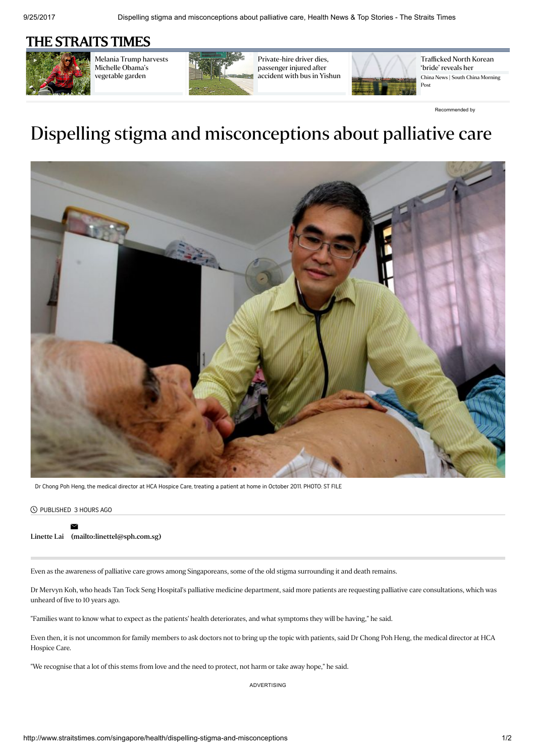## [THE STRAITS TIMES](http://www.straitstimes.com/)



Melania Trump harvests Michelle Obama's [vegetable](http://www.straitstimes.com/world/united-states/melania-trump-harvests-michelle-obamas-vegetable-garden) garden



[Private-hire](http://www.straitstimes.com/singapore/private-hire-driver-dies-passenger-injured-after-accident-with-bus-in-yishun) driver dies, passenger injured after accident with bus in Yishun



[Trafficked](http://www.scmp.com/news/china/policies-politics/article/2110256/trafficked-north-korea-bride-one-woman-reveals-her?utm_source=outbrain&utm_campaign=GME-I-Northkorea-Sep17_SEA&utm_medium=SEA-00ce3d59a99ea1ee4a8481da6a8fc9ef6e&cx_source=outbrain&cx_medium=SEA&cx_campaign=GME-I&utm_term=00ce3d59a99ea1ee4a8481da6a8fc9ef6e-) North Korean 'bride' reveals her China News | South China Morning Post

[Recommended](http://www.outbrain.com/what-is/default/en) by

## Dispelling stigma and misconceptions about palliative care



Dr Chong Poh Heng, the medical director at HCA Hospice Care, treating a patient at home in October 2011. PHOTO: ST FILE

## PUBLISHED 3 HOURS AGO

## [Linette](http://www.straitstimes.com/authors/linette-lai) Lai [\(mailto:linettel@sph.com.sg\)](mailto:linettel@sph.com.sg)  $\mathord{\simeq}$

Even as the awareness of palliative care grows among Singaporeans, some of the old stigma surrounding it and death remains.

Dr Mervyn Koh, who heads Tan Tock Seng Hospital's palliative medicine department, said more patients are requesting palliative care consultations, which was unheard of five to 10 years ago.

"Families want to know what to expect as the patients' health deteriorates, and what symptoms they will be having," he said.

Even then, it is not uncommon for family members to ask doctors not to bring up the topic with patients, said Dr Chong Poh Heng, the medical director at HCA Hospice Care.

"We recognise that a lot of this stems from love and the need to protect, not harm or take away hope," he said.

ADVERTISING